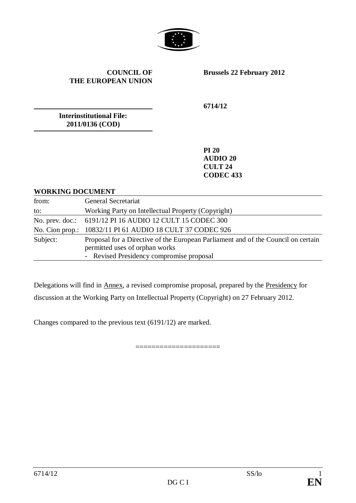

#### **COUNCIL OF THE EUROPEAN UNION**

**Brussels 22 February 2012**

**Interinstitutional File: 2011/0136 (COD)**

**6714/12**

**PI 20 AUDIO 20 CULT 24 CODEC 433**

#### **WORKING DOCUMENT**

| from:           | General Secretariat                                                                                                                                             |
|-----------------|-----------------------------------------------------------------------------------------------------------------------------------------------------------------|
| to:             | Working Party on Intellectual Property (Copyright)                                                                                                              |
|                 | No. prev. doc.: 6191/12 PI 16 AUDIO 12 CULT 15 CODEC 300                                                                                                        |
| No. Cion prop.: | 10832/11 PI 61 AUDIO 18 CULT 37 CODEC 926                                                                                                                       |
| Subject:        | Proposal for a Directive of the European Parliament and of the Council on certain<br>permitted uses of orphan works<br>- Revised Presidency compromise proposal |

Delegations will find in Annex, a revised compromise proposal, prepared by the Presidency for discussion at the Working Party on Intellectual Property (Copyright) on 27 February 2012.

=====================

Changes compared to the previous text (6191/12) are marked.

6714/12 SS/lo 1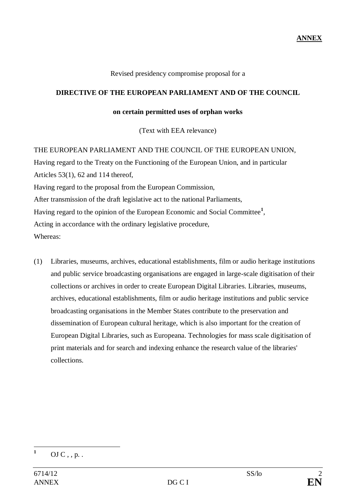Revised presidency compromise proposal for a

#### **DIRECTIVE OF THE EUROPEAN PARLIAMENT AND OF THE COUNCIL**

#### **on certain permitted uses of orphan works**

(Text with EEA relevance)

THE EUROPEAN PARLIAMENT AND THE COUNCIL OF THE EUROPEAN UNION, Having regard to the Treaty on the Functioning of the European Union, and in particular Articles 53(1), 62 and 114 thereof, Having regard to the proposal from the European Commission, After transmission of the draft legislative act to the national Parliaments, Having regard to the opinion of the European Economic and Social Committee**<sup>1</sup>** , Acting in accordance with the ordinary legislative procedure, Whereas:

(1) Libraries, museums, archives, educational establishments, film or audio heritage institutions and public service broadcasting organisations are engaged in large-scale digitisation of their collections or archives in order to create European Digital Libraries. Libraries, museums, archives, educational establishments, film or audio heritage institutions and public service broadcasting organisations in the Member States contribute to the preservation and dissemination of European cultural heritage, which is also important for the creation of European Digital Libraries, such as Europeana. Technologies for mass scale digitisation of print materials and for search and indexing enhance the research value of the libraries' collections.

 $\mathbf{1}$ **<sup>1</sup>** OJ C , , p. .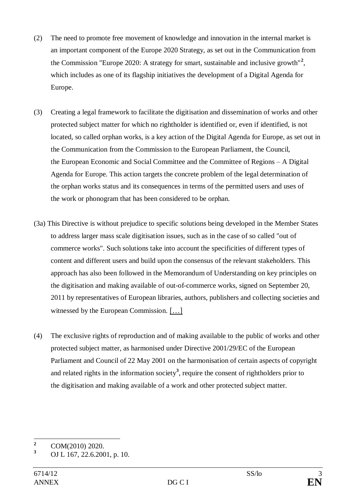- (2) The need to promote free movement of knowledge and innovation in the internal market is an important component of the Europe 2020 Strategy, as set out in the Communication from the Commission "Europe 2020: A strategy for smart, sustainable and inclusive growth"**<sup>2</sup>** , which includes as one of its flagship initiatives the development of a Digital Agenda for Europe.
- (3) Creating a legal framework to facilitate the digitisation and dissemination of works and other protected subject matter for which no rightholder is identified or, even if identified, is not located, so called orphan works, is a key action of the Digital Agenda for Europe, as set out in the Communication from the Commission to the European Parliament, the Council, the European Economic and Social Committee and the Committee of Regions – A Digital Agenda for Europe. This action targets the concrete problem of the legal determination of the orphan works status and its consequences in terms of the permitted users and uses of the work or phonogram that has been considered to be orphan.
- (3a) This Directive is without prejudice to specific solutions being developed in the Member States to address larger mass scale digitisation issues, such as in the case of so called "out of commerce works". Such solutions take into account the specificities of different types of content and different users and build upon the consensus of the relevant stakeholders. This approach has also been followed in the Memorandum of Understanding on key principles on the digitisation and making available of out-of-commerce works, signed on September 20, 2011 by representatives of European libraries, authors, publishers and collecting societies and witnessed by the European Commission. […]
- (4) The exclusive rights of reproduction and of making available to the public of works and other protected subject matter, as harmonised under Directive 2001/29/EC of the European Parliament and Council of 22 May 2001 on the harmonisation of certain aspects of copyright and related rights in the information society**<sup>3</sup>** , require the consent of rightholders prior to the digitisation and making available of a work and other protected subject matter.

 $\overline{2}$ <sup>2</sup> COM(2010) 2020.

**<sup>3</sup>** OJ L 167, 22.6.2001, p. 10.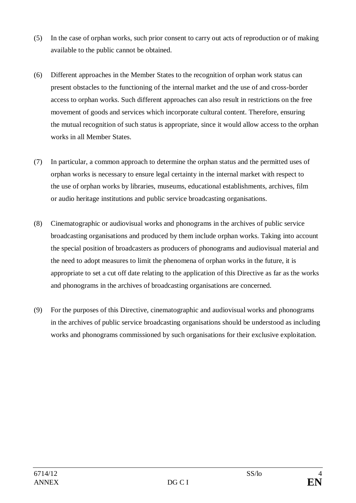- (5) In the case of orphan works, such prior consent to carry out acts of reproduction or of making available to the public cannot be obtained.
- (6) Different approaches in the Member States to the recognition of orphan work status can present obstacles to the functioning of the internal market and the use of and cross-border access to orphan works. Such different approaches can also result in restrictions on the free movement of goods and services which incorporate cultural content. Therefore, ensuring the mutual recognition of such status is appropriate, since it would allow access to the orphan works in all Member States.
- (7) In particular, a common approach to determine the orphan status and the permitted uses of orphan works is necessary to ensure legal certainty in the internal market with respect to the use of orphan works by libraries, museums, educational establishments, archives, film or audio heritage institutions and public service broadcasting organisations.
- (8) Cinematographic or audiovisual works and phonograms in the archives of public service broadcasting organisations and produced by them include orphan works. Taking into account the special position of broadcasters as producers of phonograms and audiovisual material and the need to adopt measures to limit the phenomena of orphan works in the future, it is appropriate to set a cut off date relating to the application of this Directive as far as the works and phonograms in the archives of broadcasting organisations are concerned.
- (9) For the purposes of this Directive, cinematographic and audiovisual works and phonograms in the archives of public service broadcasting organisations should be understood as including works and phonograms commissioned by such organisations for their exclusive exploitation.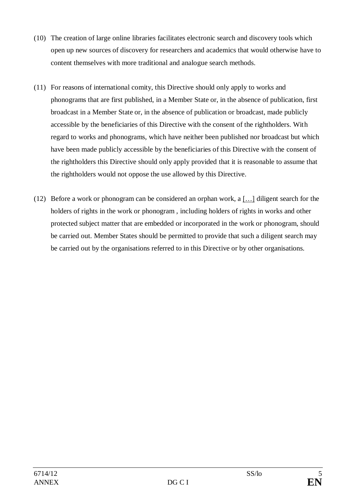- (10) The creation of large online libraries facilitates electronic search and discovery tools which open up new sources of discovery for researchers and academics that would otherwise have to content themselves with more traditional and analogue search methods.
- (11) For reasons of international comity, this Directive should only apply to works and phonograms that are first published, in a Member State or, in the absence of publication, first broadcast in a Member State or, in the absence of publication or broadcast, made publicly accessible by the beneficiaries of this Directive with the consent of the rightholders. With regard to works and phonograms, which have neither been published nor broadcast but which have been made publicly accessible by the beneficiaries of this Directive with the consent of the rightholders this Directive should only apply provided that it is reasonable to assume that the rightholders would not oppose the use allowed by this Directive.
- (12) Before a work or phonogram can be considered an orphan work, a […] diligent search for the holders of rights in the work or phonogram , including holders of rights in works and other protected subject matter that are embedded or incorporated in the work or phonogram, should be carried out. Member States should be permitted to provide that such a diligent search may be carried out by the organisations referred to in this Directive or by other organisations.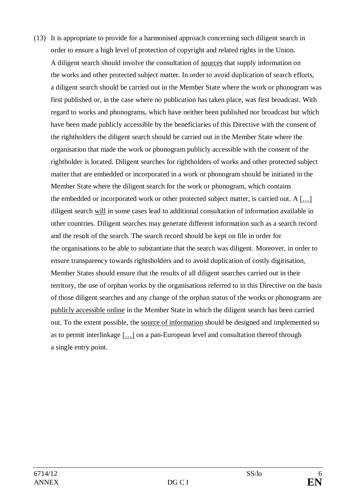(13) It is appropriate to provide for a harmonised approach concerning such diligent search in order to ensure a high level of protection of copyright and related rights in the Union. A diligent search should involve the consultation of sources that supply information on the works and other protected subject matter. In order to avoid duplication of search efforts, a diligent search should be carried out in the Member State where the work or phonogram was first published or, in the case where no publication has taken place, was first broadcast. With regard to works and phonograms, which have neither been published nor broadcast but which have been made publicly accessible by the beneficiaries of this Directive with the consent of the rightholders the diligent search should be carried out in the Member State where the organisation that made the work or phonogram publicly accessible with the consent of the rightholder is located. Diligent searches for rightholders of works and other protected subject matter that are embedded or incorporated in a work or phonogram should be initiated in the Member State where the diligent search for the work or phonogram, which contains the embedded or incorporated work or other protected subject matter, is carried out. A […] diligent search will in some cases lead to additional consultation of information available in other countries. Diligent searches may generate different information such as a search record and the result of the search. The search record should be kept on file in order for the organisations to be able to substantiate that the search was diligent. Moreover, in order to ensure transparency towards rightsholders and to avoid duplication of costly digitisation, Member States should ensure that the results of all diligent searches carried out in their territory, the use of orphan works by the organisations referred to in this Directive on the basis of those diligent searches and any change of the orphan status of the works or phonograms are publicly accessible online in the Member State in which the diligent search has been carried out. To the extent possible, the source of information should be designed and implemented so as to permit interlinkage […] on a pan-European level and consultation thereof through a single entry point.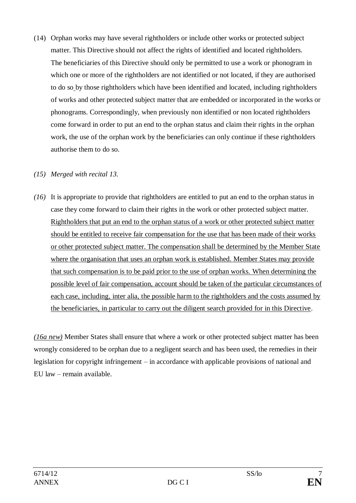(14) Orphan works may have several rightholders or include other works or protected subject matter. This Directive should not affect the rights of identified and located rightholders. The beneficiaries of this Directive should only be permitted to use a work or phonogram in which one or more of the rightholders are not identified or not located, if they are authorised to do so by those rightholders which have been identified and located, including rightholders of works and other protected subject matter that are embedded or incorporated in the works or phonograms. Correspondingly, when previously non identified or non located rightholders come forward in order to put an end to the orphan status and claim their rights in the orphan work, the use of the orphan work by the beneficiaries can only continue if these rightholders authorise them to do so.

### *(15) Merged with recital 13.*

*(16)* It is appropriate to provide that rightholders are entitled to put an end to the orphan status in case they come forward to claim their rights in the work or other protected subject matter. Rightholders that put an end to the orphan status of a work or other protected subject matter should be entitled to receive fair compensation for the use that has been made of their works or other protected subject matter. The compensation shall be determined by the Member State where the organisation that uses an orphan work is established. Member States may provide that such compensation is to be paid prior to the use of orphan works. When determining the possible level of fair compensation, account should be taken of the particular circumstances of each case, including, inter alia, the possible harm to the rightholders and the costs assumed by the beneficiaries, in particular to carry out the diligent search provided for in this Directive.

*(16a new)* Member States shall ensure that where a work or other protected subject matter has been wrongly considered to be orphan due to a negligent search and has been used, the remedies in their legislation for copyright infringement – in accordance with applicable provisions of national and EU law – remain available.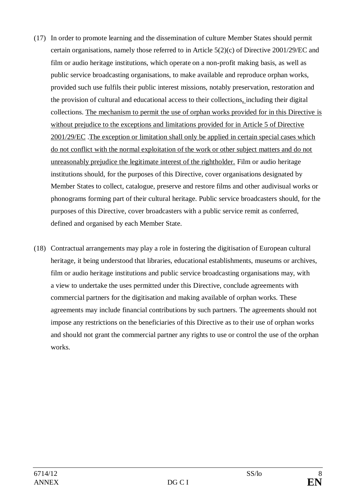- (17) In order to promote learning and the dissemination of culture Member States should permit certain organisations, namely those referred to in Article 5(2)(c) of Directive 2001/29/EC and film or audio heritage institutions, which operate on a non-profit making basis, as well as public service broadcasting organisations, to make available and reproduce orphan works, provided such use fulfils their public interest missions, notably preservation, restoration and the provision of cultural and educational access to their collections, including their digital collections. The mechanism to permit the use of orphan works provided for in this Directive is without prejudice to the exceptions and limitations provided for in Article 5 of Directive 2001/29/EC .The exception or limitation shall only be applied in certain special cases which do not conflict with the normal exploitation of the work or other subject matters and do not unreasonably prejudice the legitimate interest of the rightholder. Film or audio heritage institutions should, for the purposes of this Directive, cover organisations designated by Member States to collect, catalogue, preserve and restore films and other audivisual works or phonograms forming part of their cultural heritage. Public service broadcasters should, for the purposes of this Directive, cover broadcasters with a public service remit as conferred, defined and organised by each Member State.
- (18) Contractual arrangements may play a role in fostering the digitisation of European cultural heritage, it being understood that libraries, educational establishments, museums or archives, film or audio heritage institutions and public service broadcasting organisations may, with a view to undertake the uses permitted under this Directive, conclude agreements with commercial partners for the digitisation and making available of orphan works. These agreements may include financial contributions by such partners. The agreements should not impose any restrictions on the beneficiaries of this Directive as to their use of orphan works and should not grant the commercial partner any rights to use or control the use of the orphan works.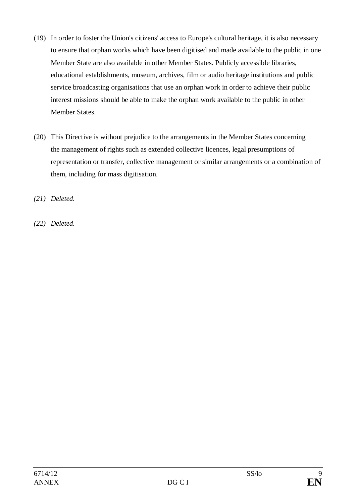- (19) In order to foster the Union's citizens' access to Europe's cultural heritage, it is also necessary to ensure that orphan works which have been digitised and made available to the public in one Member State are also available in other Member States. Publicly accessible libraries, educational establishments, museum, archives, film or audio heritage institutions and public service broadcasting organisations that use an orphan work in order to achieve their public interest missions should be able to make the orphan work available to the public in other Member States.
- (20) This Directive is without prejudice to the arrangements in the Member States concerning the management of rights such as extended collective licences, legal presumptions of representation or transfer, collective management or similar arrangements or a combination of them, including for mass digitisation.

*(21) Deleted.*

*(22) Deleted.*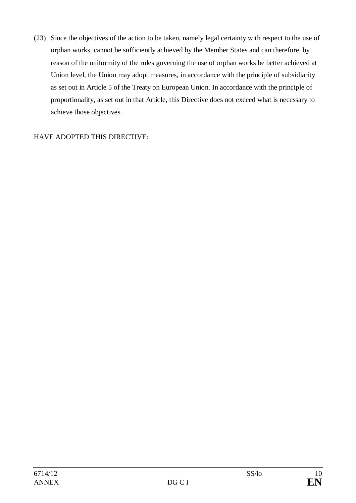(23) Since the objectives of the action to be taken, namely legal certainty with respect to the use of orphan works, cannot be sufficiently achieved by the Member States and can therefore, by reason of the uniformity of the rules governing the use of orphan works be better achieved at Union level, the Union may adopt measures, in accordance with the principle of subsidiarity as set out in Article 5 of the Treaty on European Union. In accordance with the principle of proportionality, as set out in that Article, this Directive does not exceed what is necessary to achieve those objectives.

### HAVE ADOPTED THIS DIRECTIVE: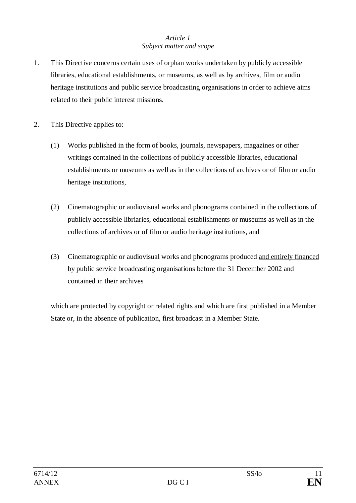### *Article 1 Subject matter and scope*

- 1. This Directive concerns certain uses of orphan works undertaken by publicly accessible libraries, educational establishments, or museums, as well as by archives, film or audio heritage institutions and public service broadcasting organisations in order to achieve aims related to their public interest missions.
- 2. This Directive applies to:
	- (1) Works published in the form of books, journals, newspapers, magazines or other writings contained in the collections of publicly accessible libraries, educational establishments or museums as well as in the collections of archives or of film or audio heritage institutions,
	- (2) Cinematographic or audiovisual works and phonograms contained in the collections of publicly accessible libriaries, educational establishments or museums as well as in the collections of archives or of film or audio heritage institutions, and
	- (3) Cinematographic or audiovisual works and phonograms produced and entirely financed by public service broadcasting organisations before the 31 December 2002 and contained in their archives

which are protected by copyright or related rights and which are first published in a Member State or, in the absence of publication, first broadcast in a Member State.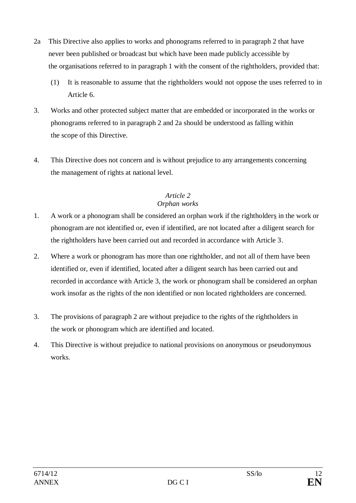- 2a This Directive also applies to works and phonograms referred to in paragraph 2 that have never been published or broadcast but which have been made publicly accessible by the organisations referred to in paragraph 1 with the consent of the rightholders, provided that:
	- (1) It is reasonable to assume that the rightholders would not oppose the uses referred to in Article 6.
- 3. Works and other protected subject matter that are embedded or incorporated in the works or phonograms referred to in paragraph 2 and 2a should be understood as falling within the scope of this Directive.
- 4. This Directive does not concern and is without prejudice to any arrangements concerning the management of rights at national level.

### *Article 2 Orphan works*

- 1. A work or a phonogram shall be considered an orphan work if the rightholders in the work or phonogram are not identified or, even if identified, are not located after a diligent search for the rightholders have been carried out and recorded in accordance with Article 3.
- 2. Where a work or phonogram has more than one rightholder, and not all of them have been identified or, even if identified, located after a diligent search has been carried out and recorded in accordance with Article 3, the work or phonogram shall be considered an orphan work insofar as the rights of the non identified or non located rightholders are concerned.
- 3. The provisions of paragraph 2 are without prejudice to the rights of the rightholders in the work or phonogram which are identified and located.
- 4. This Directive is without prejudice to national provisions on anonymous or pseudonymous works.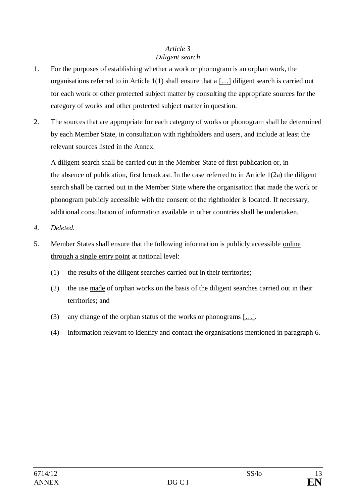### *Article 3 Diligent search*

- 1. For the purposes of establishing whether a work or phonogram is an orphan work, the organisations referred to in Article 1(1) shall ensure that a […] diligent search is carried out for each work or other protected subject matter by consulting the appropriate sources for the category of works and other protected subject matter in question.
- 2. The sources that are appropriate for each category of works or phonogram shall be determined by each Member State, in consultation with rightholders and users, and include at least the relevant sources listed in the Annex.

A diligent search shall be carried out in the Member State of first publication or, in the absence of publication, first broadcast. In the case referred to in Article 1(2a) the diligent search shall be carried out in the Member State where the organisation that made the work or phonogram publicly accessible with the consent of the rightholder is located. If necessary, additional consultation of information available in other countries shall be undertaken.

- *4. Deleted.*
- 5. Member States shall ensure that the following information is publicly accessible online through a single entry point at national level:
	- (1) the results of the diligent searches carried out in their territories;
	- (2) the use made of orphan works on the basis of the diligent searches carried out in their territories; and
	- (3) any change of the orphan status of the works or phonograms […].
	- (4) information relevant to identify and contact the organisations mentioned in paragraph 6.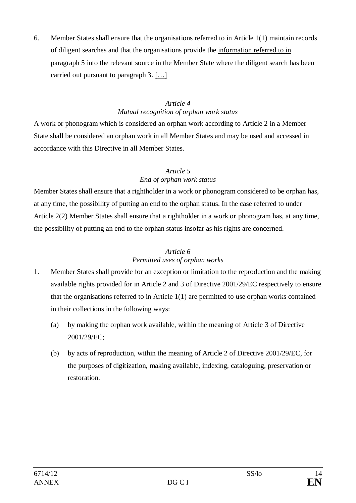6. Member States shall ensure that the organisations referred to in Article 1(1) maintain records of diligent searches and that the organisations provide the information referred to in paragraph 5 into the relevant source in the Member State where the diligent search has been carried out pursuant to paragraph 3. […]

### *Article 4 Mutual recognition of orphan work status*

A work or phonogram which is considered an orphan work according to Article 2 in a Member State shall be considered an orphan work in all Member States and may be used and accessed in accordance with this Directive in all Member States.

### *Article 5 End of orphan work status*

Member States shall ensure that a rightholder in a work or phonogram considered to be orphan has, at any time, the possibility of putting an end to the orphan status. In the case referred to under Article 2(2) Member States shall ensure that a rightholder in a work or phonogram has, at any time, the possibility of putting an end to the orphan status insofar as his rights are concerned.

## *Article 6 Permitted uses of orphan works*

- 1. Member States shall provide for an exception or limitation to the reproduction and the making available rights provided for in Article 2 and 3 of Directive 2001/29/EC respectively to ensure that the organisations referred to in Article 1(1) are permitted to use orphan works contained in their collections in the following ways:
	- (a) by making the orphan work available, within the meaning of Article 3 of Directive 2001/29/EC;
	- (b) by acts of reproduction, within the meaning of Article 2 of Directive 2001/29/EC, for the purposes of digitization, making available, indexing, cataloguing, preservation or restoration.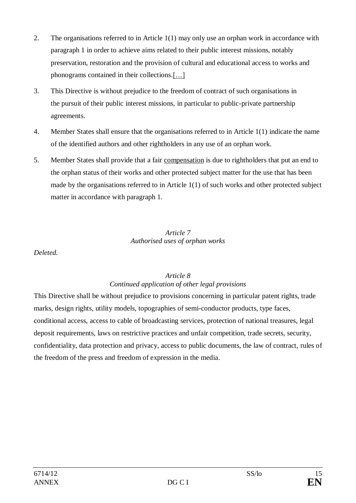- 2. The organisations referred to in Article 1(1) may only use an orphan work in accordance with paragraph 1 in order to achieve aims related to their public interest missions, notably preservation, restoration and the provision of cultural and educational access to works and phonograms contained in their collections.[…]
- 3. This Directive is without prejudice to the freedom of contract of such organisations in the pursuit of their public interest missions, in particular to public-private partnership agreements.
- 4. Member States shall ensure that the organisations referred to in Article 1(1) indicate the name of the identified authors and other rightholders in any use of an orphan work.
- 5. Member States shall provide that a fair compensation is due to rightholders that put an end to the orphan status of their works and other protected subject matter for the use that has been made by the organisations referred to in Article 1(1) of such works and other protected subject matter in accordance with paragraph 1.

#### *Article 7 Authorised uses of orphan works*

*Deleted.*

### *Article 8 Continued application of other legal provisions*

This Directive shall be without prejudice to provisions concerning in particular patent rights, trade marks, design rights, utility models, topographies of semi-conductor products, type faces, conditional access, access to cable of broadcasting services, protection of national treasures, legal deposit requirements, laws on restrictive practices and unfair competition, trade secrets, security, confidentiality, data protection and privacy, access to public documents, the law of contract, rules of the freedom of the press and freedom of expression in the media.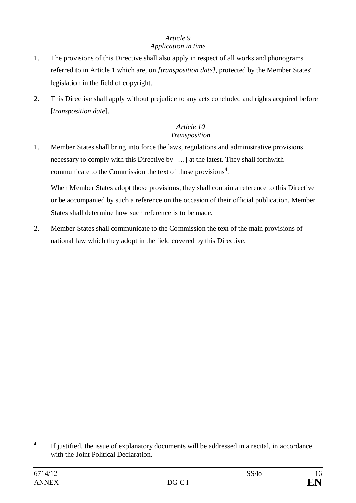# *Article 9*

## *Application in time*

- 1. The provisions of this Directive shall also apply in respect of all works and phonograms referred to in Article 1 which are, on *[transposition date]*, protected by the Member States' legislation in the field of copyright.
- 2. This Directive shall apply without prejudice to any acts concluded and rights acquired before [*transposition date*].

### *Article 10 Transposition*

1. Member States shall bring into force the laws, regulations and administrative provisions necessary to comply with this Directive by […] at the latest. They shall forthwith communicate to the Commission the text of those provisions**<sup>4</sup>** .

When Member States adopt those provisions, they shall contain a reference to this Directive or be accompanied by such a reference on the occasion of their official publication. Member States shall determine how such reference is to be made.

2. Member States shall communicate to the Commission the text of the main provisions of national law which they adopt in the field covered by this Directive.

 **4** If justified, the issue of explanatory documents will be addressed in a recital, in accordance with the Joint Political Declaration.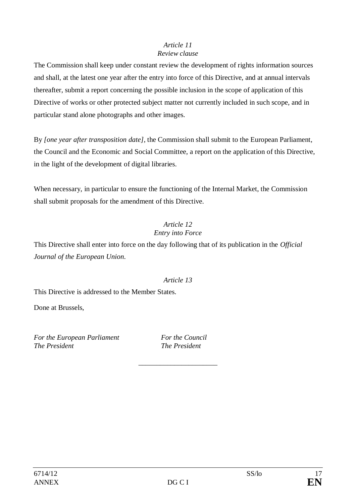### *Article 11 Review clause*

The Commission shall keep under constant review the development of rights information sources and shall, at the latest one year after the entry into force of this Directive, and at annual intervals thereafter, submit a report concerning the possible inclusion in the scope of application of this Directive of works or other protected subject matter not currently included in such scope, and in particular stand alone photographs and other images.

By *[one year after transposition date]*, the Commission shall submit to the European Parliament, the Council and the Economic and Social Committee, a report on the application of this Directive, in the light of the development of digital libraries.

When necessary, in particular to ensure the functioning of the Internal Market, the Commission shall submit proposals for the amendment of this Directive.

## *Article 12 Entry into Force*

This Directive shall enter into force on the day following that of its publication in the *Official Journal of the European Union*.

## *Article 13*

This Directive is addressed to the Member States.

Done at Brussels,

*For the European Parliament For the Council The President The President*

*\_\_\_\_\_\_\_\_\_\_\_\_\_\_\_\_\_\_\_\_\_\_*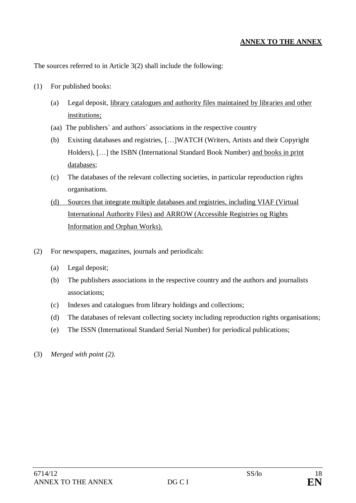### **ANNEX TO THE ANNEX**

The sources referred to in Article 3(2) shall include the following:

- (1) For published books:
	- (a) Legal deposit, library catalogues and authority files maintained by libraries and other institutions;
	- (aa) The publishers` and authors` associations in the respective country
	- (b) Existing databases and registries, […]WATCH (Writers, Artists and their Copyright Holders), [...] the ISBN (International Standard Book Number) and books in print databases;
	- (c) The databases of the relevant collecting societies, in particular reproduction rights organisations.
	- (d) Sources that integrate multiple databases and registries, including VIAF (Virtual International Authority Files) and ARROW (Accessible Registries og Rights Information and Orphan Works).
- (2) For newspapers, magazines, journals and periodicals:
	- (a) Legal deposit;
	- (b) The publishers associations in the respective country and the authors and journalists associations;
	- (c) Indexes and catalogues from library holdings and collections;
	- (d) The databases of relevant collecting society including reproduction rights organisations;
	- (e) The ISSN (International Standard Serial Number) for periodical publications;
- (3) *Merged with point (2).*